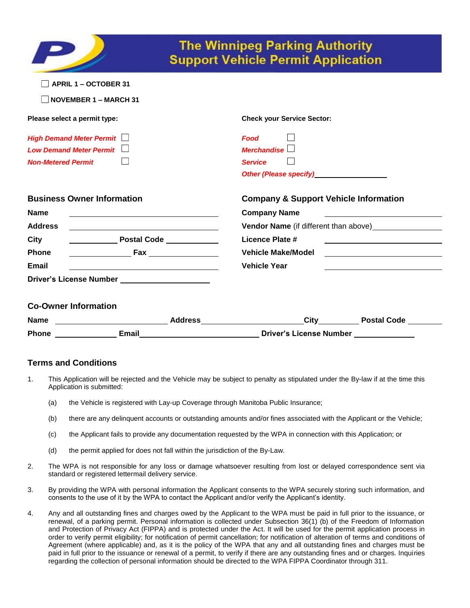|                                                                                                                      | <b>The Winnipeg Parking Authority</b><br><b>Support Vehicle Permit Application</b>                                                                                                                                                                          |  |  |  |
|----------------------------------------------------------------------------------------------------------------------|-------------------------------------------------------------------------------------------------------------------------------------------------------------------------------------------------------------------------------------------------------------|--|--|--|
| <b>APRIL 1 - OCTOBER 31</b>                                                                                          |                                                                                                                                                                                                                                                             |  |  |  |
| <b>NOVEMBER 1 - MARCH 31</b>                                                                                         |                                                                                                                                                                                                                                                             |  |  |  |
| Please select a permit type:                                                                                         | <b>Check your Service Sector:</b>                                                                                                                                                                                                                           |  |  |  |
| <b>High Demand Meter Permit</b>                                                                                      | <b>Food</b>                                                                                                                                                                                                                                                 |  |  |  |
| Low Demand Meter Permit                                                                                              | Merchandise                                                                                                                                                                                                                                                 |  |  |  |
| <b>Non-Metered Permit</b>                                                                                            | <b>Service</b>                                                                                                                                                                                                                                              |  |  |  |
|                                                                                                                      | Other (Please specify) <b>State Servers</b>                                                                                                                                                                                                                 |  |  |  |
| <b>Business Owner Information</b>                                                                                    | <b>Company &amp; Support Vehicle Information</b>                                                                                                                                                                                                            |  |  |  |
| <b>Name</b><br><u> 1989 - Johann Stein, marking and de Brazilian (b. 1989)</u>                                       | <b>Company Name</b><br><u> 1989 - Johann Stoff, deutscher Stoffen und der Stoffen und der Stoffen und der Stoffen und der Stoffen und der Stoffen und der Stoffen und der Stoffen und der Stoffen und der Stoffen und der Stoffen und der Stoffen und d</u> |  |  |  |
| <b>Address</b>                                                                                                       | <b>Vendor Name</b> (if different than above)                                                                                                                                                                                                                |  |  |  |
| City                                                                                                                 | <b>Licence Plate #</b>                                                                                                                                                                                                                                      |  |  |  |
| <b>Example 2 Fax</b><br><b>Phone</b>                                                                                 | <b>Vehicle Make/Model</b>                                                                                                                                                                                                                                   |  |  |  |
| <b>Email</b>                                                                                                         | <b>Vehicle Year</b>                                                                                                                                                                                                                                         |  |  |  |
| <b>Driver's License Number Care and Server Server Server Server Server Server Server Server Server Server Server</b> |                                                                                                                                                                                                                                                             |  |  |  |
| <b>Co-Owner Information</b>                                                                                          |                                                                                                                                                                                                                                                             |  |  |  |
|                                                                                                                      | Name ___________________________Address______________________City__________Postal Code ______                                                                                                                                                               |  |  |  |
|                                                                                                                      | Phone <b>Email</b> Email <b>Example 2</b> Email <b>Contract Example 2</b> Email Driver's License Number                                                                                                                                                     |  |  |  |

# **Terms and Conditions**

- 1. This Application will be rejected and the Vehicle may be subject to penalty as stipulated under the By-law if at the time this Application is submitted:
	- (a) the Vehicle is registered with Lay-up Coverage through Manitoba Public Insurance;
	- (b) there are any delinquent accounts or outstanding amounts and/or fines associated with the Applicant or the Vehicle;
	- (c) the Applicant fails to provide any documentation requested by the WPA in connection with this Application; or
	- (d) the permit applied for does not fall within the jurisdiction of the By-Law.
- 2. The WPA is not responsible for any loss or damage whatsoever resulting from lost or delayed correspondence sent via standard or registered lettermail delivery service.
- 3. By providing the WPA with personal information the Applicant consents to the WPA securely storing such information, and consents to the use of it by the WPA to contact the Applicant and/or verify the Applicant's identity.
- 4. Any and all outstanding fines and charges owed by the Applicant to the WPA must be paid in full prior to the issuance, or renewal, of a parking permit. Personal information is collected under Subsection 36(1) (b) of the Freedom of Information and Protection of Privacy Act (FIPPA) and is protected under the Act. It will be used for the permit application process in order to verify permit eligibility; for notification of permit cancellation; for notification of alteration of terms and conditions of Agreement (where applicable) and, as it is the policy of the WPA that any and all outstanding fines and charges must be paid in full prior to the issuance or renewal of a permit, to verify if there are any outstanding fines and or charges. Inquiries regarding the collection of personal information should be directed to the WPA FIPPA Coordinator through 311.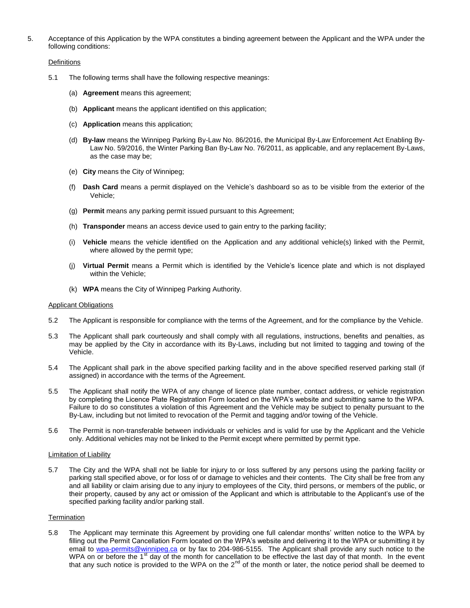5. Acceptance of this Application by the WPA constitutes a binding agreement between the Applicant and the WPA under the following conditions:

### **Definitions**

- 5.1 The following terms shall have the following respective meanings:
	- (a) **Agreement** means this agreement;
	- (b) **Applicant** means the applicant identified on this application;
	- (c) **Application** means this application;
	- (d) **By-law** means the Winnipeg Parking By-Law No. 86/2016, the Municipal By-Law Enforcement Act Enabling By-Law No. 59/2016, the Winter Parking Ban By-Law No. 76/2011, as applicable, and any replacement By-Laws, as the case may be;
	- (e) **City** means the City of Winnipeg;
	- (f) **Dash Card** means a permit displayed on the Vehicle's dashboard so as to be visible from the exterior of the Vehicle;
	- (g) **Permit** means any parking permit issued pursuant to this Agreement;
	- (h) **Transponder** means an access device used to gain entry to the parking facility;
	- (i) **Vehicle** means the vehicle identified on the Application and any additional vehicle(s) linked with the Permit, where allowed by the permit type;
	- (j) **Virtual Permit** means a Permit which is identified by the Vehicle's licence plate and which is not displayed within the Vehicle;
	- (k) **WPA** means the City of Winnipeg Parking Authority.

#### Applicant Obligations

- 5.2 The Applicant is responsible for compliance with the terms of the Agreement, and for the compliance by the Vehicle.
- 5.3 The Applicant shall park courteously and shall comply with all regulations, instructions, benefits and penalties, as may be applied by the City in accordance with its By-Laws, including but not limited to tagging and towing of the Vehicle.
- 5.4 The Applicant shall park in the above specified parking facility and in the above specified reserved parking stall (if assigned) in accordance with the terms of the Agreement.
- 5.5 The Applicant shall notify the WPA of any change of licence plate number, contact address, or vehicle registration by completing the Licence Plate Registration Form located on the WPA's website and submitting same to the WPA. Failure to do so constitutes a violation of this Agreement and the Vehicle may be subject to penalty pursuant to the By-Law, including but not limited to revocation of the Permit and tagging and/or towing of the Vehicle.
- 5.6 The Permit is non-transferable between individuals or vehicles and is valid for use by the Applicant and the Vehicle only. Additional vehicles may not be linked to the Permit except where permitted by permit type.

### Limitation of Liability

5.7 The City and the WPA shall not be liable for injury to or loss suffered by any persons using the parking facility or parking stall specified above, or for loss of or damage to vehicles and their contents. The City shall be free from any and all liability or claim arising due to any injury to employees of the City, third persons, or members of the public, or their property, caused by any act or omission of the Applicant and which is attributable to the Applicant's use of the specified parking facility and/or parking stall.

### **Termination**

5.8 The Applicant may terminate this Agreement by providing one full calendar months' written notice to the WPA by filling out the Permit Cancellation Form located on the WPA's website and delivering it to the WPA or submitting it by email to [wpa-permits@winnipeg.ca](mailto:wpa-permits@winnipeg.ca) or by fax to 204-986-5155. The Applicant shall provide any such notice to the WPA on or before the 1<sup>st</sup> day of the month for cancellation to be effective the last day of that month. In the event that any such notice is provided to the WPA on the  $2^{nd}$  of the month or later, the notice period shall be deemed to